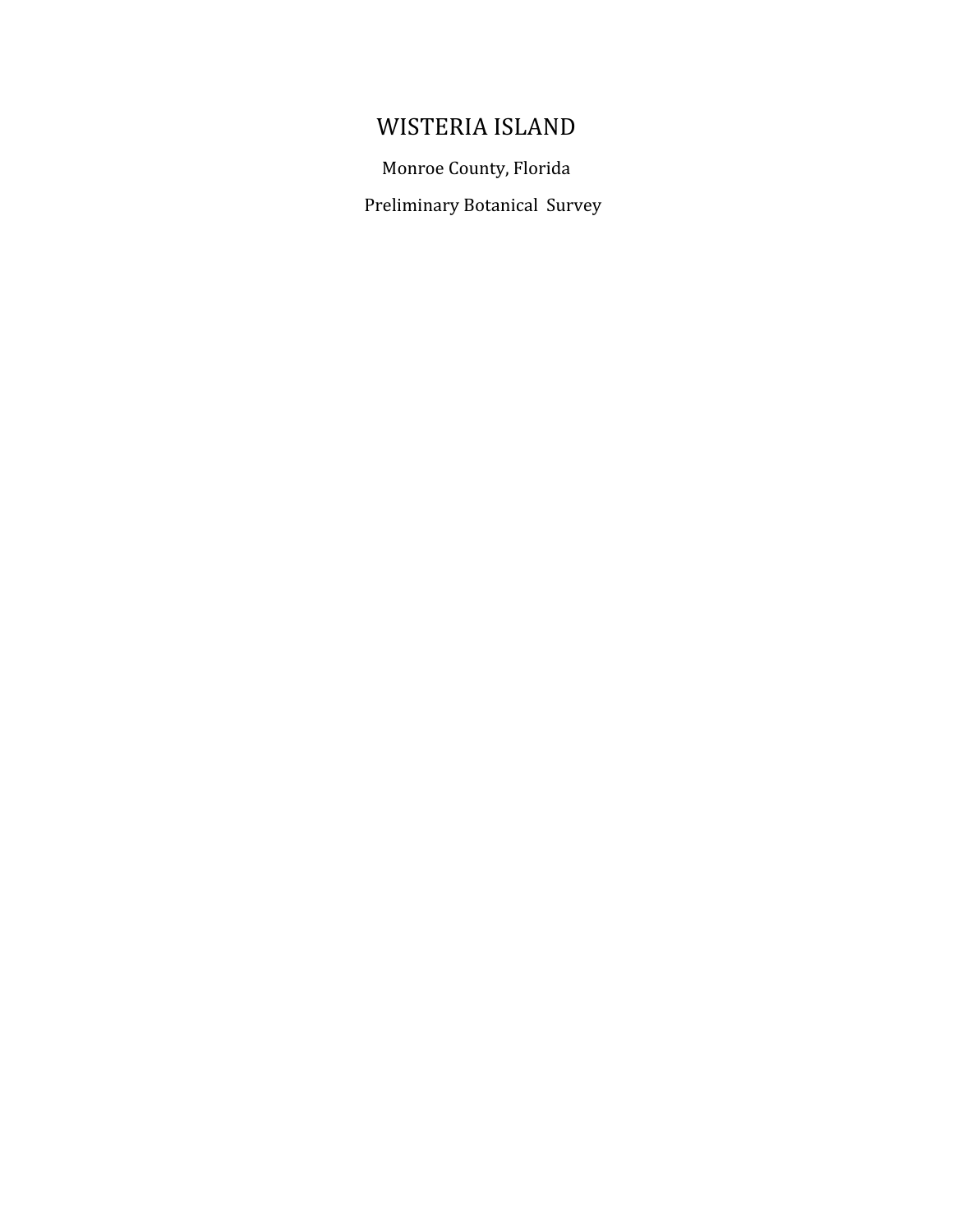# WISTERIA
ISLAND

Monroe
County,
Florida

Preliminary
Botanical

Survey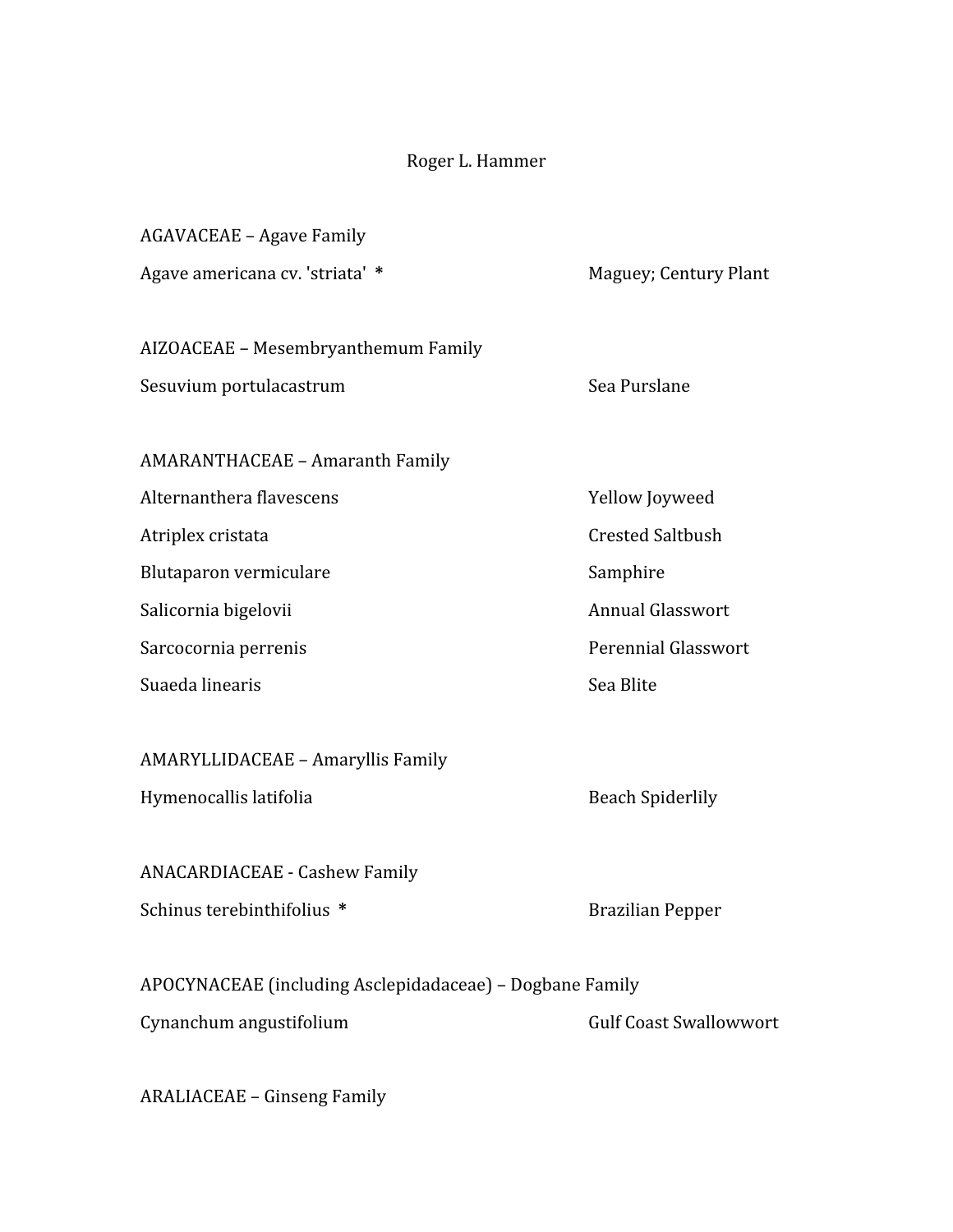## Roger
L.
Hammer

| <b>AGAVACEAE - Agave Family</b>                          |                               |
|----------------------------------------------------------|-------------------------------|
| Agave americana cv. 'striata' *                          | Maguey; Century Plant         |
| AIZOACEAE - Mesembryanthemum Family                      |                               |
| Sesuvium portulacastrum                                  | Sea Purslane                  |
| <b>AMARANTHACEAE - Amaranth Family</b>                   |                               |
| Alternanthera flavescens                                 | Yellow Joyweed                |
| Atriplex cristata                                        | <b>Crested Saltbush</b>       |
| Blutaparon vermiculare                                   | Samphire                      |
| Salicornia bigelovii                                     | <b>Annual Glasswort</b>       |
| Sarcocornia perrenis                                     | <b>Perennial Glasswort</b>    |
| Suaeda linearis                                          | Sea Blite                     |
| AMARYLLIDACEAE - Amaryllis Family                        |                               |
| Hymenocallis latifolia                                   | <b>Beach Spiderlily</b>       |
| ANACARDIACEAE - Cashew Family                            |                               |
| Schinus terebinthifolius *                               | <b>Brazilian Pepper</b>       |
| APOCYNACEAE (including Asclepidadaceae) - Dogbane Family |                               |
| Cynanchum angustifolium                                  | <b>Gulf Coast Swallowwort</b> |

ARALIACEAE
–
Ginseng
Family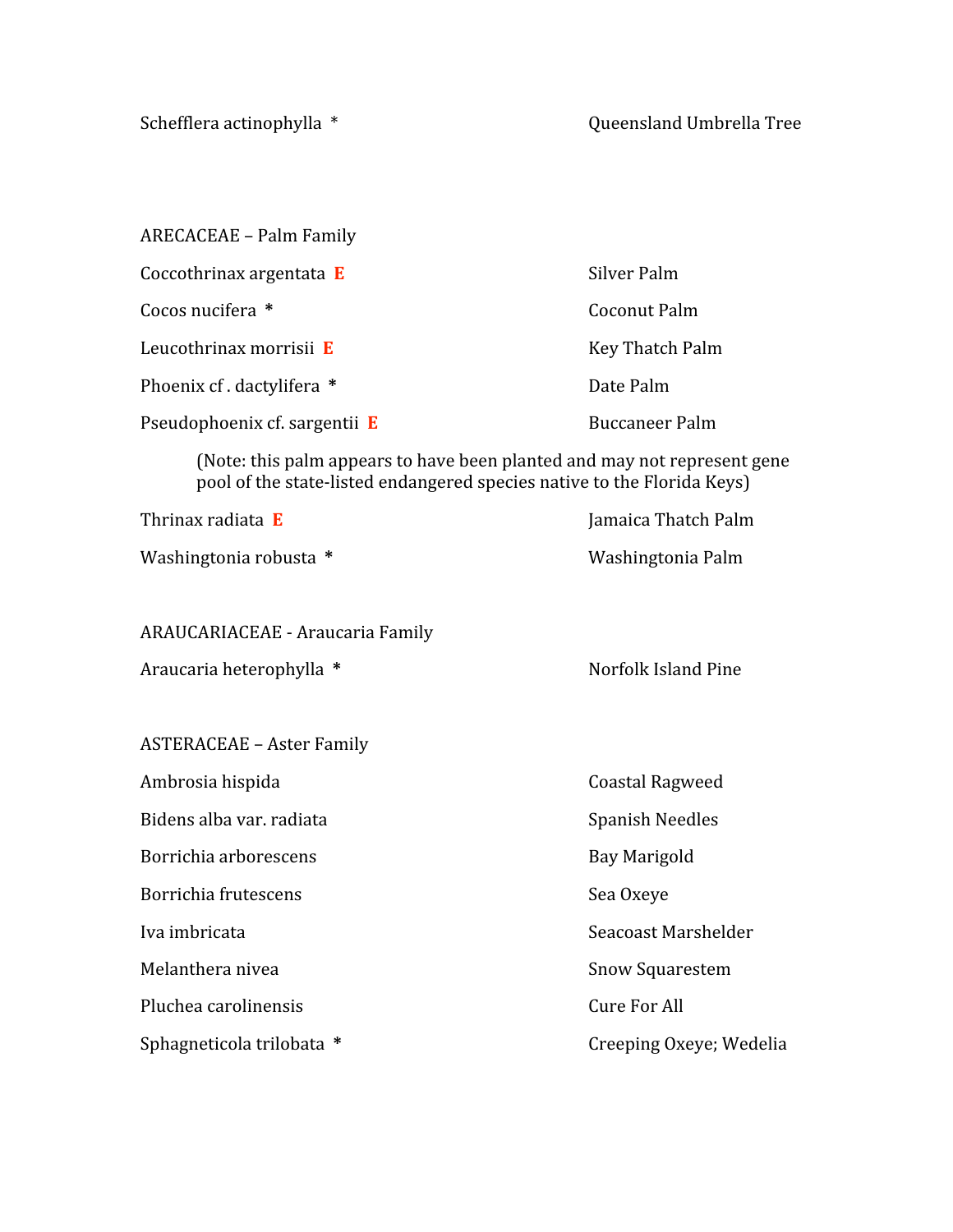| ARECACEAE – Palm Family              |                     |
|--------------------------------------|---------------------|
| Coccothrinax argentata $E$           | Silver Palm         |
| Cocos nucifera *                     | <b>Coconut Palm</b> |
| Leucothrinax morrisii E              | Key Thatch Palm     |
| Phoenix cf. dactylifera *            | Date Palm           |
| Pseudophoenix cf. sargentii $\bf{E}$ | Buccaneer Palm      |

(Note:
this
palm
appears
to
have
been
planted
and
may
not
represent
gene pool of the state-listed endangered species native to the Florida Keys)

| Thrinax radiata <b>E</b> | Jamaica Thatch Palm |
|--------------------------|---------------------|
| Washingtonia robusta *   | Washingtonia Palm   |

#### ARAUCARIACEAE
‐
Araucaria
Family

| Norfolk Island Pine<br>Araucaria heterophylla * |
|-------------------------------------------------|
|-------------------------------------------------|

ASTERACEAE
–
Aster
Family

| Ambrosia hispida         | Coastal Ragweed        |  |
|--------------------------|------------------------|--|
| Bidens alba var. radiata | <b>Spanish Needles</b> |  |
| Borrichia arborescens    | Bay Marigold           |  |

Borrichia frutescens Sea Oxeye

Pluchea carolinensis Cure For All

Sphagneticola trilobata \* The Creeping Oxeye; Wedelia

Iva
imbricata Seacoast
Marshelder Melanthera nivea entry and the state of the Snow Squarestem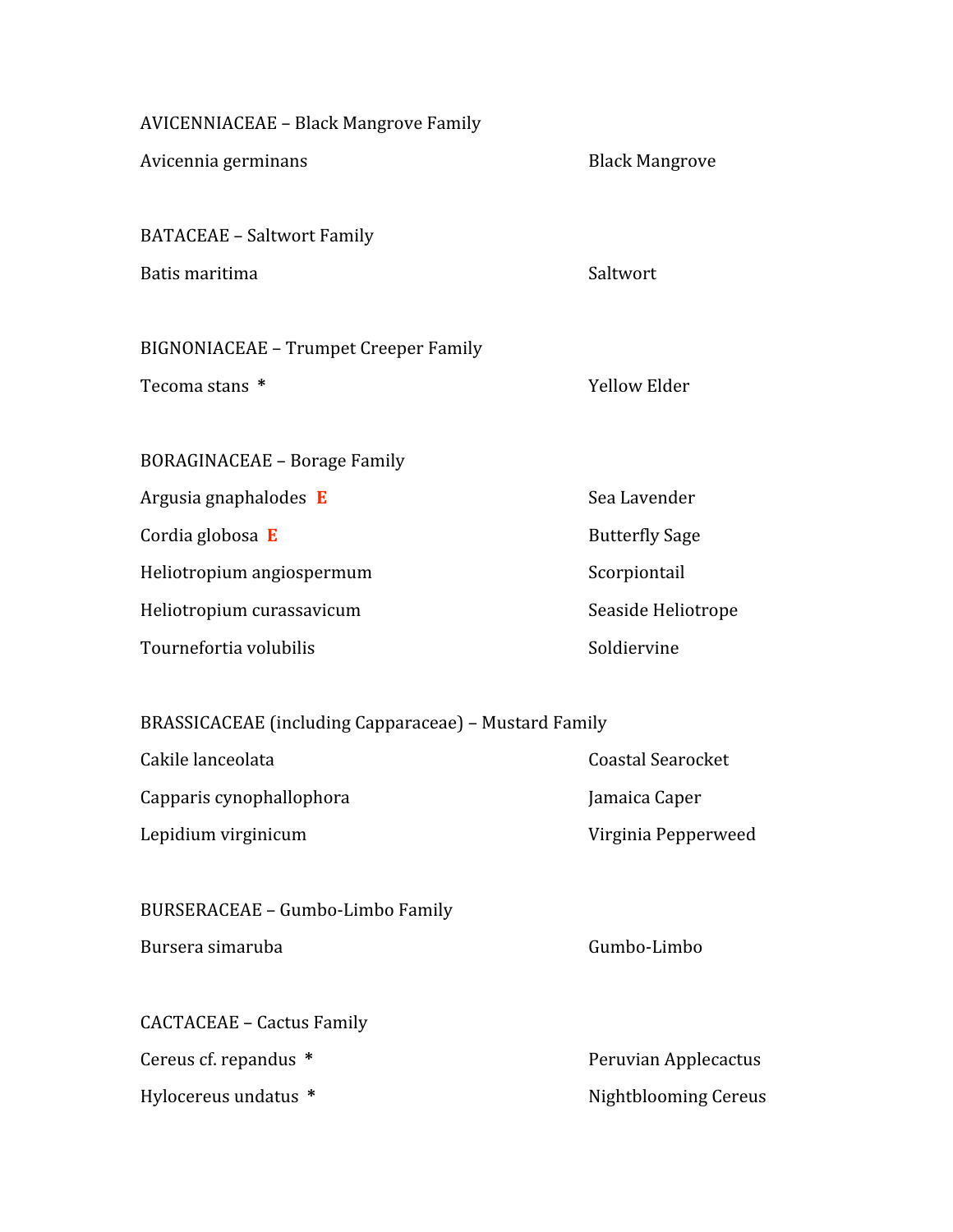| <b>AVICENNIACEAE - Black Mangrove Family</b>          |                             |
|-------------------------------------------------------|-----------------------------|
| Avicennia germinans                                   | <b>Black Mangrove</b>       |
| <b>BATACEAE - Saltwort Family</b>                     |                             |
| Batis maritima                                        | Saltwort                    |
| <b>BIGNONIACEAE - Trumpet Creeper Family</b>          |                             |
| Tecoma stans *                                        | <b>Yellow Elder</b>         |
| <b>BORAGINACEAE - Borage Family</b>                   |                             |
| Argusia gnaphalodes E                                 | Sea Lavender                |
| Cordia globosa E                                      | <b>Butterfly Sage</b>       |
| Heliotropium angiospermum                             | Scorpiontail                |
| Heliotropium curassavicum                             | Seaside Heliotrope          |
| Tournefortia volubilis                                | Soldiervine                 |
| BRASSICACEAE (including Capparaceae) - Mustard Family |                             |
| Cakile lanceolata                                     | <b>Coastal Searocket</b>    |
| Capparis cynophallophora                              | Jamaica Caper               |
| Lepidium virginicum                                   | Virginia Pepperweed         |
| <b>BURSERACEAE - Gumbo-Limbo Family</b>               |                             |
| Bursera simaruba                                      | Gumbo-Limbo                 |
| <b>CACTACEAE - Cactus Family</b>                      |                             |
| Cereus cf. repandus *                                 | Peruvian Applecactus        |
| Hylocereus undatus *                                  | <b>Nightblooming Cereus</b> |
|                                                       |                             |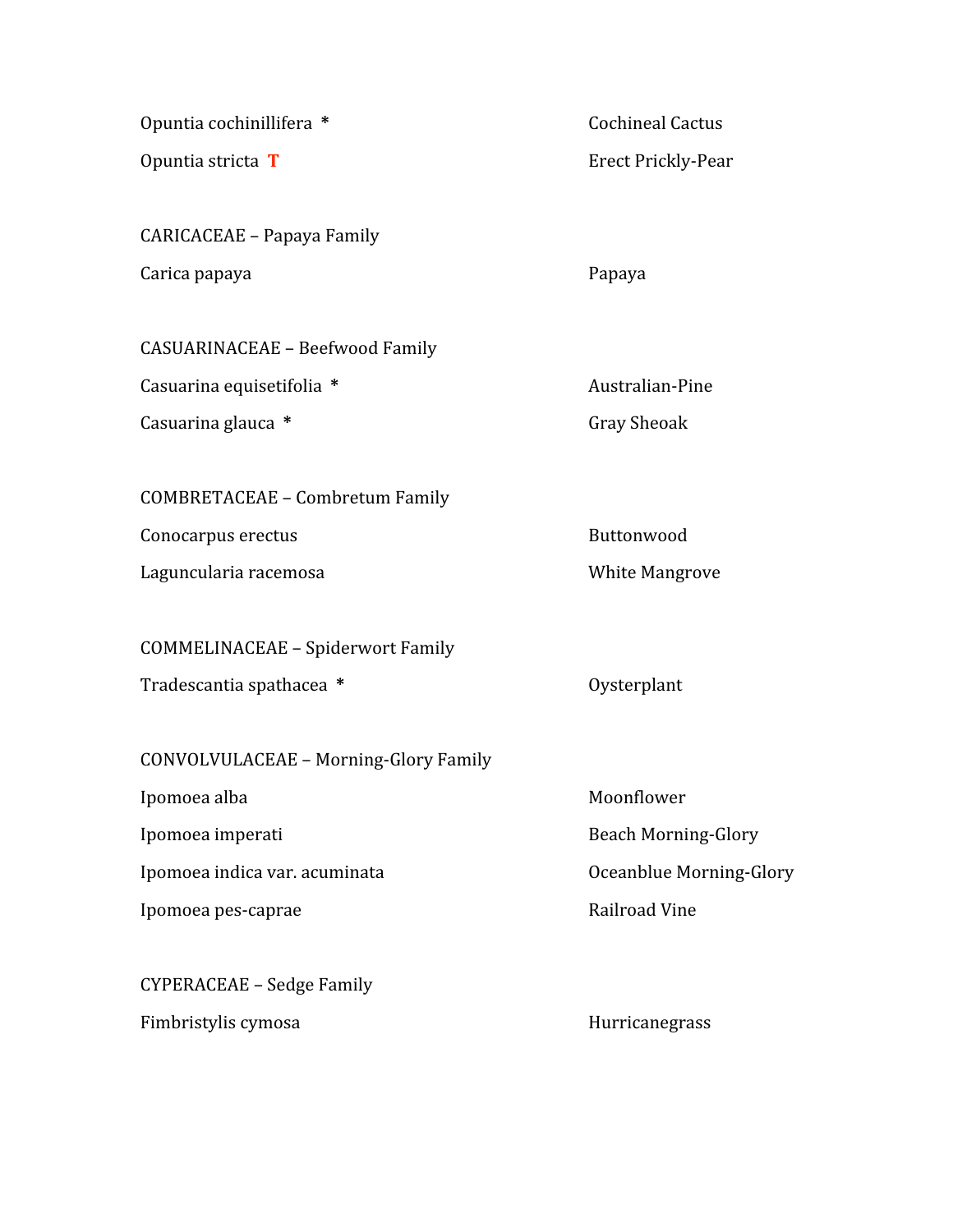Opuntia cochinillifera \* The Cochineal Cactus Opuntia stricta T Erect Prickly-Pear

CARICACEAE
–
Papaya
Family Carica
papaya Papaya

CASUARINACEAE
–
Beefwood
Family Casuarina equisetifolia \* Australian-Pine Casuarina glauca \* The Contract of Casuarina glauca \* The Contract of Casuarina glauca \* The Contract of Contract o

COMBRETACEAE
–
Combretum
Family

Conocarpus erectus **Buttonwood** 

Laguncularia
racemosa White
Mangrove

COMMELINACEAE
–
Spiderwort
Family

Tradescantia spathacea \* Tradescantia spathacea \* Tradescantia by Oysterplant

CONVOLVULACEAE
–
Morning‐Glory
Family

Ipomoea alba Moonflower Ipomoea imperati and a state of the Beach Morning-Glory Ipomoea indica var. acuminata de contrasta de la contrasta de la Coeanblue Morning-Glory Ipomoea pes-caprae and a control of the Railroad Vine

CYPERACEAE
–
Sedge
Family Fimbristylis cymosa et al. (1995) and the Hurricanegrass emission of the Hurricanegrass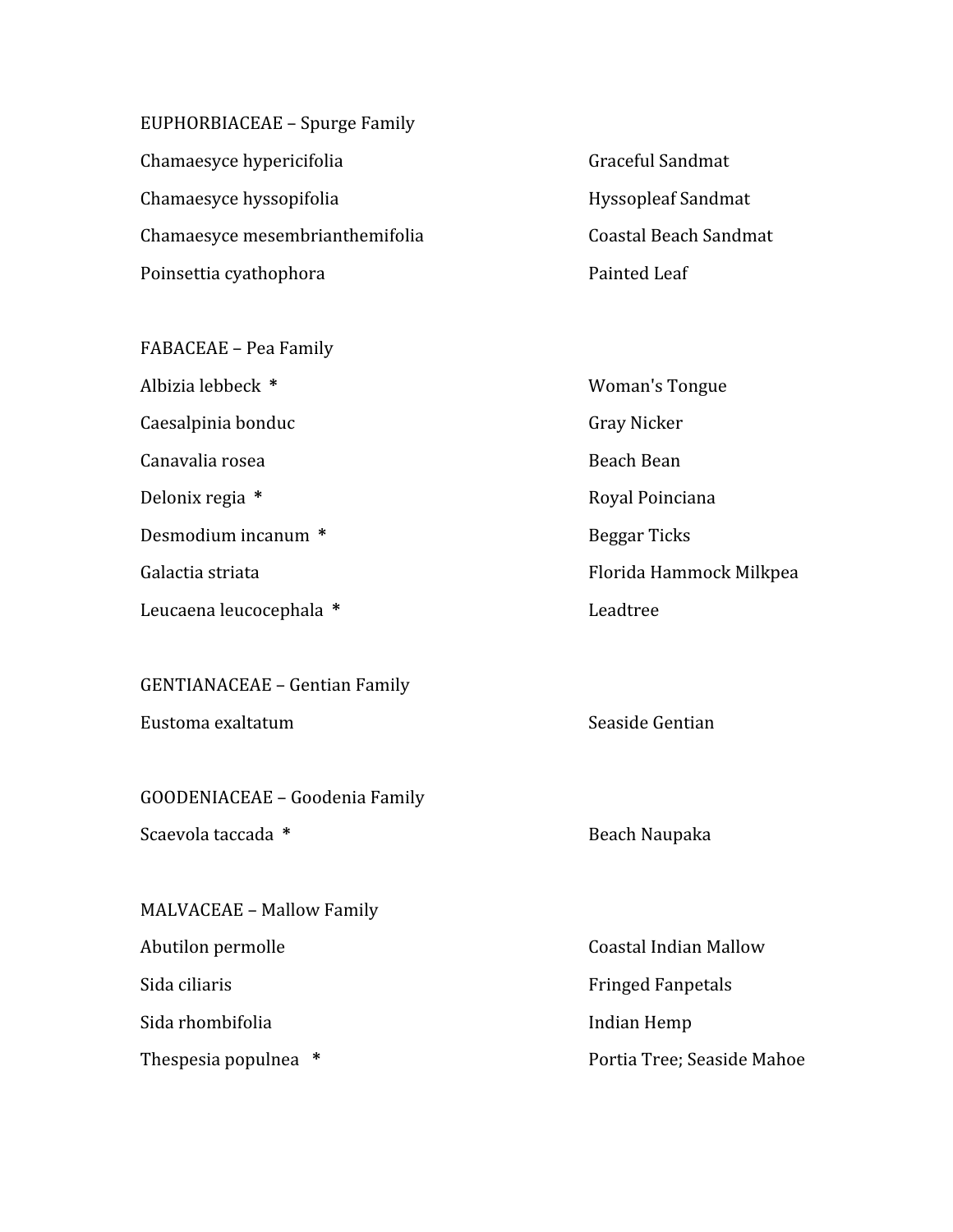EUPHORBIACEAE
–
Spurge
Family Chamaesyce hypericifolia eta alian eta erreful Sandmat Chamaesyce hyssopifolia entry and the Hyssopleaf Sandmat Chamaesyce
mesembrianthemifolia Coastal
Beach
Sandmat Poinsettia cyathophora **Painted Leaf** 

FABACEAE
–
Pea
Family Albizia lebbeck \* The Communication of the Woman's Tongue Caesalpinia
bonduc Gray
Nicker Canavalia
rosea Beach
Bean Delonix regia \* The Royal Poinciana Desmodium
incanum **\*** Beggar
Ticks Galactia striata **Florida** Hammock Milkpea Leucaena
leucocephala **\*** Leadtree

GENTIANACEAE
–
Gentian
Family Eustoma
exaltatum Seaside
Gentian

GOODENIACEAE
– Goodenia
Family Scaevola taccada \* 1982 **Scaevola** taccada \* 1982 **Beach Naupaka** 

MALVACEAE
–
Mallow
Family Abutilon
permolle Coastal
Indian
Mallow Sida ciliaris **Fringed Fanpetals** Fringed Fanpetals Sida rhombifolia and a compared to the line of the Indian Hemp

Thespesia populnea  $*$  Portia Tree; Seaside Mahoe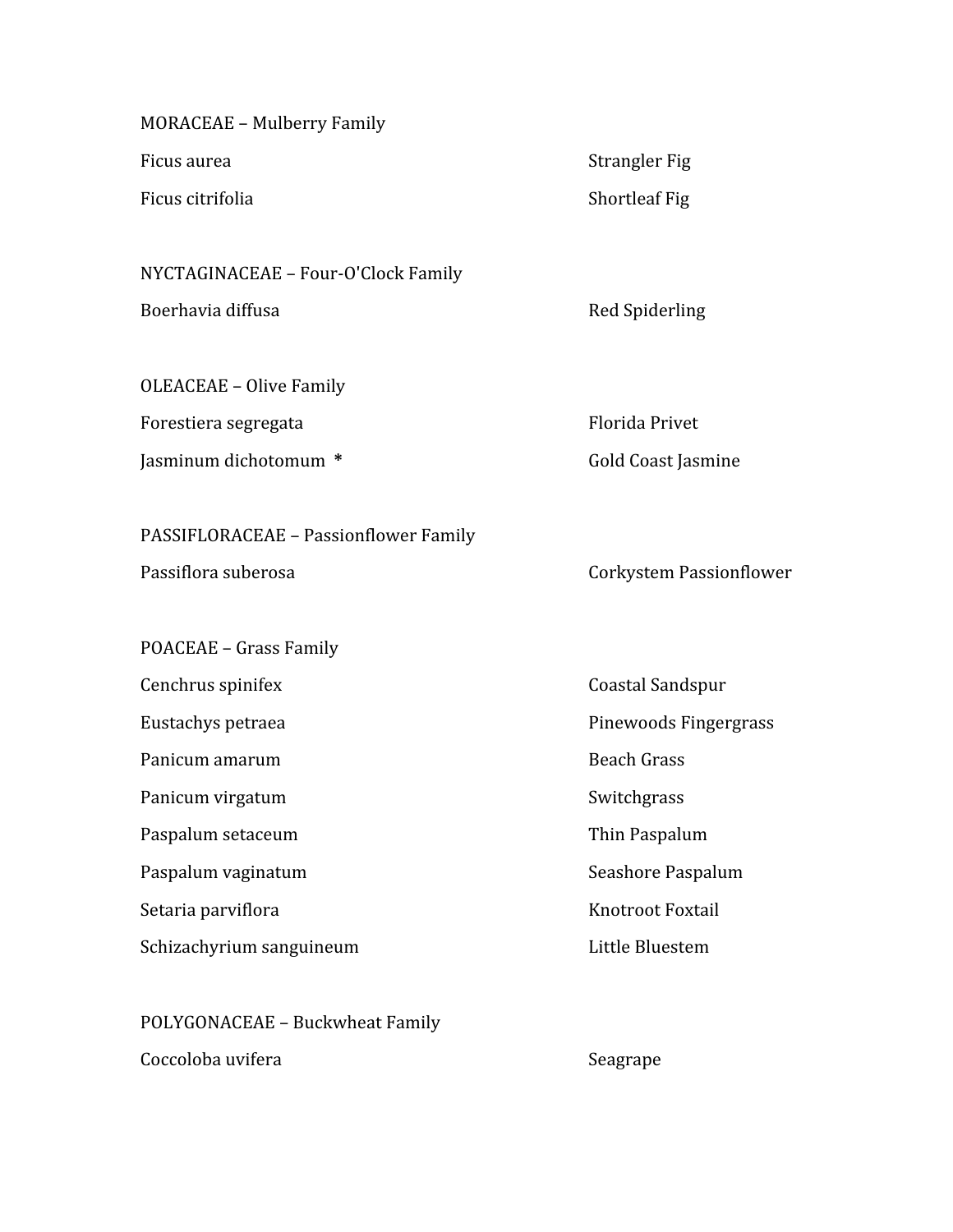| <b>MORACEAE - Mulberry Family</b>     |                                |
|---------------------------------------|--------------------------------|
| Ficus aurea                           | <b>Strangler Fig</b>           |
| Ficus citrifolia                      | <b>Shortleaf Fig</b>           |
|                                       |                                |
| NYCTAGINACEAE - Four-O'Clock Family   |                                |
| Boerhavia diffusa                     | Red Spiderling                 |
| <b>OLEACEAE - Olive Family</b>        |                                |
| Forestiera segregata                  | <b>Florida Privet</b>          |
| Jasminum dichotomum *                 | <b>Gold Coast Jasmine</b>      |
| PASSIFLORACEAE - Passionflower Family |                                |
| Passiflora suberosa                   | <b>Corkystem Passionflower</b> |
| POACEAE - Grass Family                |                                |
| Cenchrus spinifex                     | Coastal Sandspur               |
| Eustachys petraea                     | Pinewoods Fingergrass          |
| Panicum amarum                        | <b>Beach Grass</b>             |
| Panicum virgatum                      | Switchgrass                    |
| Paspalum setaceum                     | Thin Paspalum                  |
| Paspalum vaginatum                    | Seashore Paspalum              |
| Setaria parviflora                    | Knotroot Foxtail               |
| Schizachyrium sanguineum              | Little Bluestem                |
| POLYGONACEAE - Buckwheat Family       |                                |

Coccoloba uvifera  $\qquad \qquad$ Seagrape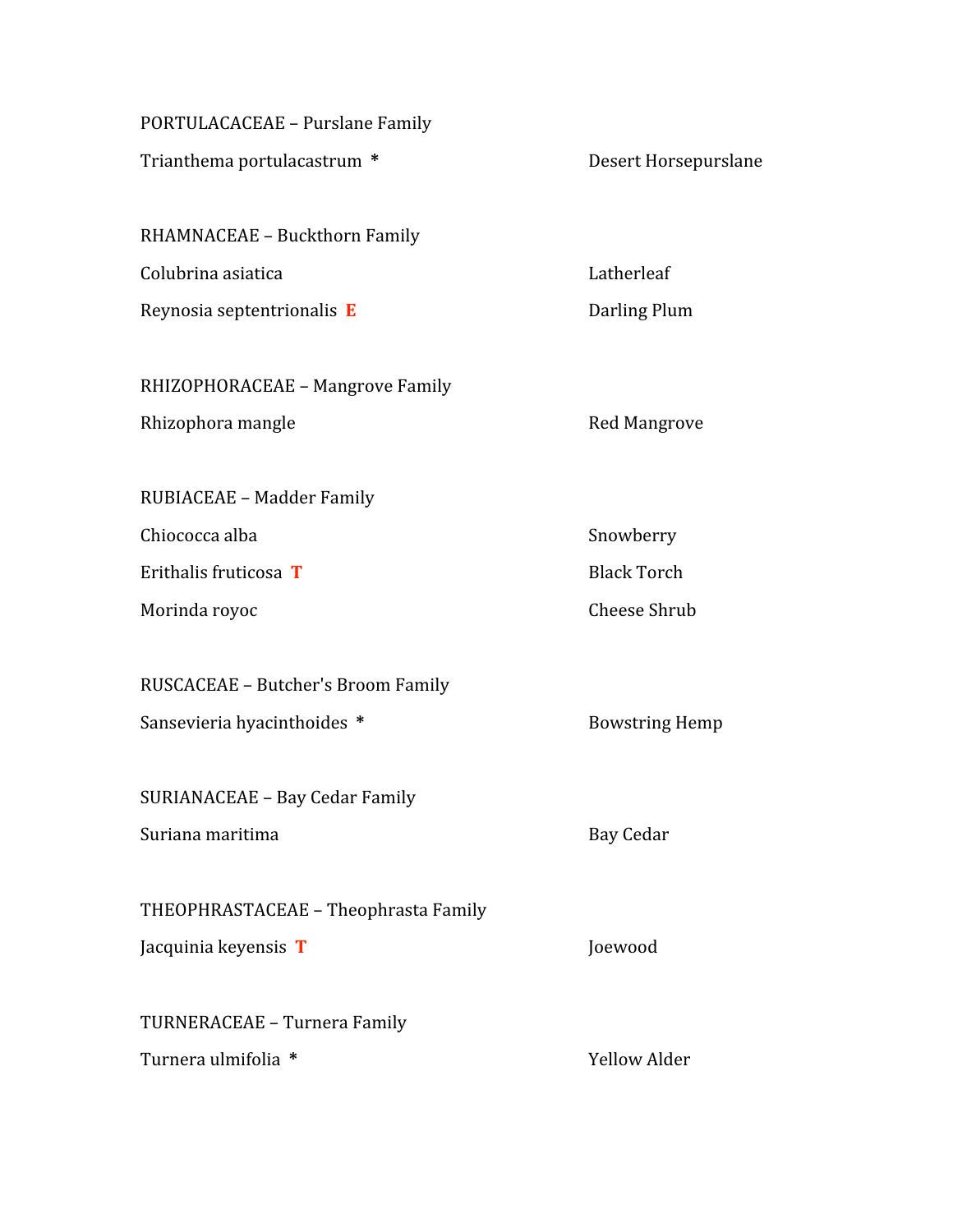PORTULACACEAE
– Purslane
Family

Trianthema
portulacastrum **\*** Desert
Horsepurslane

RHAMNACEAE
–
Buckthorn
Family Colubrina
asiatica Latherleaf Reynosia septentrionalis **E** Darling Plum

RHIZOPHORACEAE
–
Mangrove
Family Rhizophora mangle **Reduction** Red Mangrove

RUBIACEAE
–
Madder
Family Chiococca alba Snowberry **Erithalis fruticosa T** Black Torch

RUSCACEAE
–
Butcher's
Broom
Family Sansevieria hyacinthoides \* Bowstring Hemp

SURIANACEAE
–
Bay
Cedar
Family Suriana maritima **Bay Cedar** 

THEOPHRASTACEAE
– Theophrasta
Family Jacquinia
keyensis **T** Joewood

TURNERACEAE
– Turnera
Family

Turnera
ulmifolia **\*** Yellow
Alder

Morinda
royoc Cheese
Shrub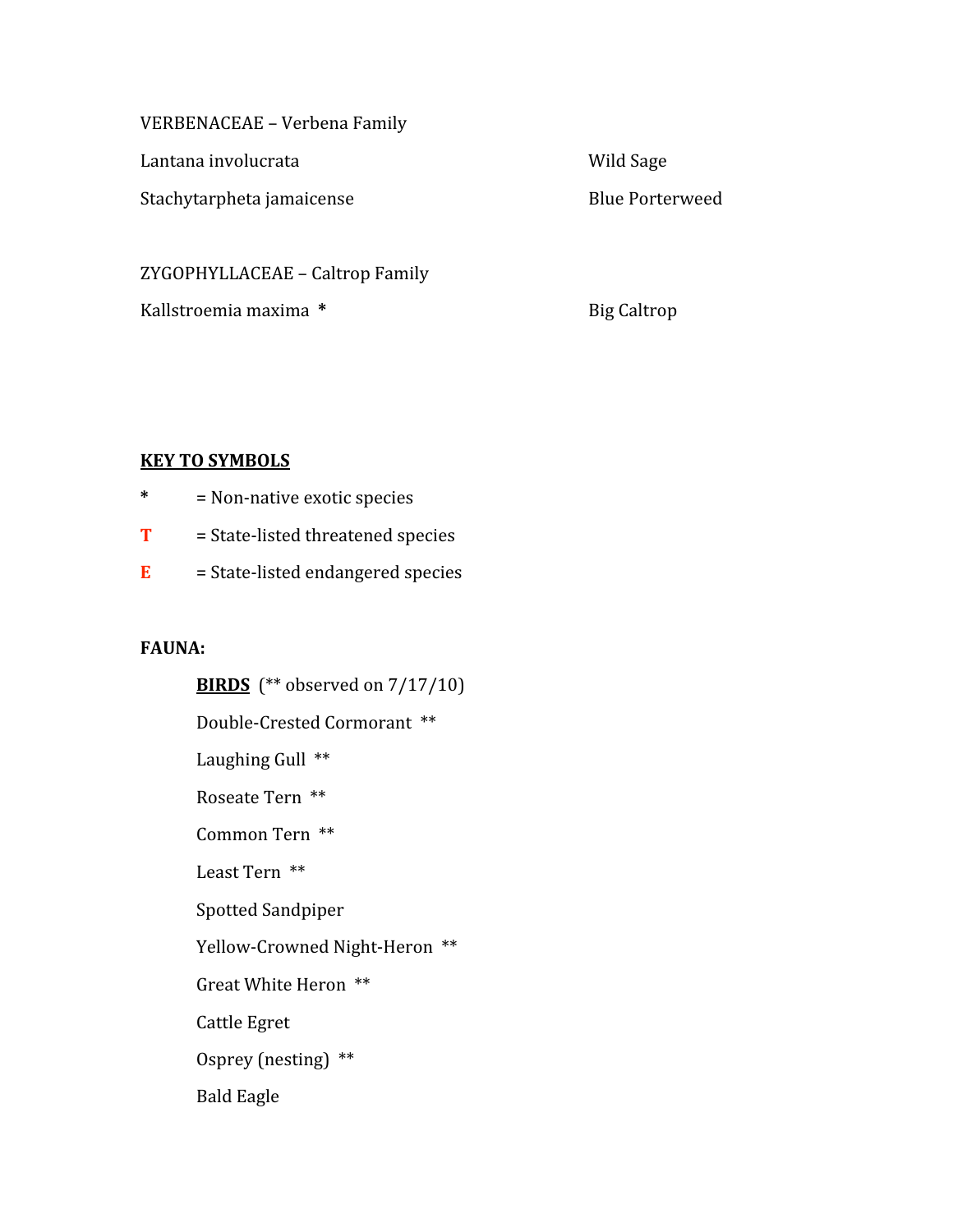VERBENACEAE
–
Verbena
Family

Lantana
involucrata Wild
Sage

Stachytarpheta jamaicense and a stachytarpheta is a stache by the Blue Porterweed

ZYGOPHYLLACEAE
–
Caltrop
Family

Kallstroemia
maxima **\*** Big
Caltrop

## **KEY
TO
SYMBOLS**

- **\***  =
Non‐native
exotic
species
- T = State-listed threatened species
- E = State-listed endangered species

#### **FAUNA:**

**BIRDS** (\*\* observed on 7/17/10) Double‐Crested
Cormorant \*\* Laughing Gull \*\* Roseate
Tern

\*\* Common
Tern

\*\* Least
Tern

\*\* Spotted
Sandpiper Yellow-Crowned Night-Heron \*\* Great
White
Heron

\*\* Cattle
Egret Osprey
(nesting)

\*\* Bald
Eagle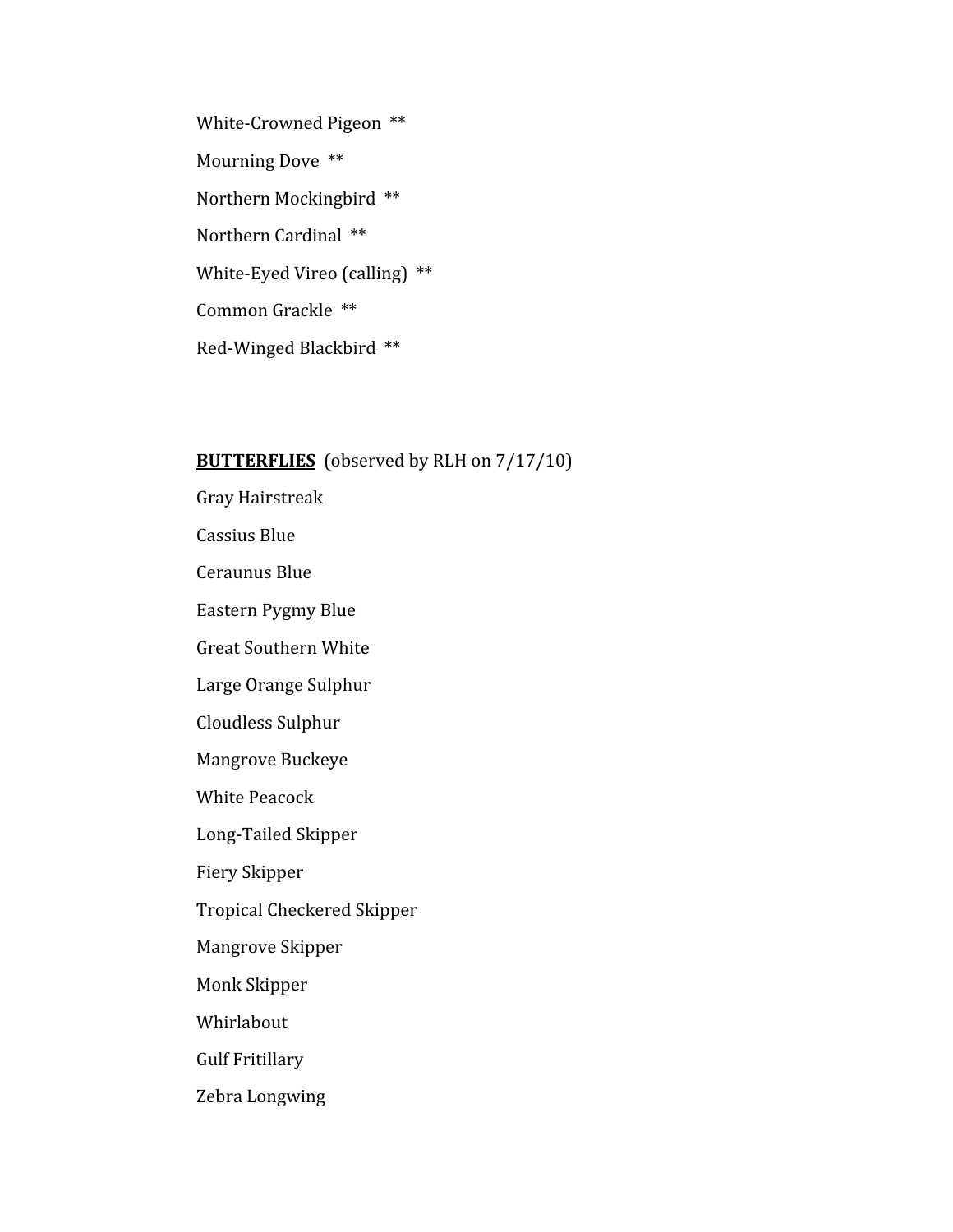White-Crowned Pigeon \*\* Mourning
Dove

\*\* Northern
Mockingbird

\*\* Northern
Cardinal

\*\* White-Eyed Vireo (calling) \*\* Common
Grackle

\*\* Red‐Winged
Blackbird

\*\*

#### **BUTTERFLIES** (observed by RLH on 7/17/10)

Gray
Hairstreak Cassius
Blue Ceraunus
Blue Eastern
Pygmy
Blue Great
Southern
White Large
Orange
Sulphur Cloudless
Sulphur Mangrove
Buckeye White
Peacock Long‐Tailed
Skipper Fiery
Skipper Tropical
Checkered
Skipper Mangrove
Skipper Monk
Skipper Whirlabout Gulf
Fritillary Zebra
Longwing